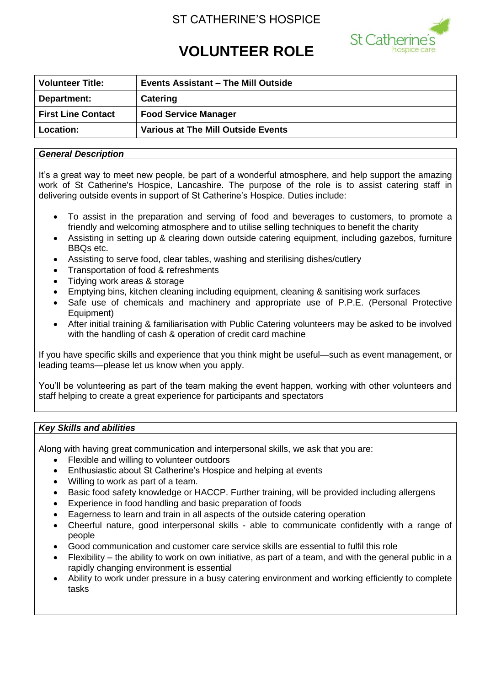# ST CATHERINE'S HOSPICE



# **VOLUNTEER ROLE**

| <b>Volunteer Title:</b>   | <b>Events Assistant - The Mill Outside</b> |
|---------------------------|--------------------------------------------|
| Department:               | Catering                                   |
| <b>First Line Contact</b> | <b>Food Service Manager</b>                |
| <b>Location:</b>          | <b>Various at The Mill Outside Events</b>  |

## *General Description*

It's a great way to meet new people, be part of a wonderful atmosphere, and help support the amazing work of St Catherine's Hospice, Lancashire. The purpose of the role is to assist catering staff in delivering outside events in support of St Catherine's Hospice. Duties include:

- To assist in the preparation and serving of food and beverages to customers, to promote a friendly and welcoming atmosphere and to utilise selling techniques to benefit the charity
- Assisting in setting up & clearing down outside catering equipment, including gazebos, furniture BBQs etc.
- Assisting to serve food, clear tables, washing and sterilising dishes/cutlery
- Transportation of food & refreshments
- Tidying work areas & storage
- Emptying bins, kitchen cleaning including equipment, cleaning & sanitising work surfaces
- Safe use of chemicals and machinery and appropriate use of P.P.E. (Personal Protective Equipment)
- After initial training & familiarisation with Public Catering volunteers may be asked to be involved with the handling of cash & operation of credit card machine

If you have specific skills and experience that you think might be useful—such as event management, or leading teams—please let us know when you apply.

You'll be volunteering as part of the team making the event happen, working with other volunteers and staff helping to create a great experience for participants and spectators

# *Key Skills and abilities*

Along with having great communication and interpersonal skills, we ask that you are:

- Flexible and willing to volunteer outdoors
- Enthusiastic about St Catherine's Hospice and helping at events
- Willing to work as part of a team.
- Basic food safety knowledge or HACCP. Further training, will be provided including allergens
- Experience in food handling and basic preparation of foods
- Eagerness to learn and train in all aspects of the outside catering operation
- Cheerful nature, good interpersonal skills able to communicate confidently with a range of people
- Good communication and customer care service skills are essential to fulfil this role
- Flexibility the ability to work on own initiative, as part of a team, and with the general public in a rapidly changing environment is essential
- Ability to work under pressure in a busy catering environment and working efficiently to complete tasks